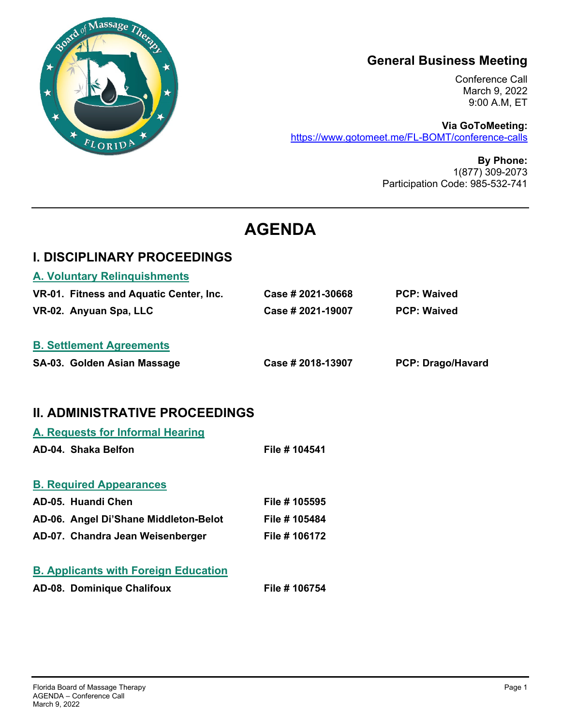

# **General Business Meeting**

Conference Call March 9, 2022 9:00 A.M, ET

**Via GoToMeeting:**  https://www.gotomeet.me/FL-BOMT/conference-calls

> **By Phone:**  1(877) 309-2073 Participation Code: 985-532-741

# **AGENDA**

## **I. DISCIPLINARY PROCEEDINGS**

| <b>B. Settlement Agreements</b>         |                   |                    |
|-----------------------------------------|-------------------|--------------------|
| VR-02. Anyuan Spa, LLC                  | Case # 2021-19007 | <b>PCP: Waived</b> |
| VR-01. Fitness and Aquatic Center, Inc. | Case # 2021-30668 | <b>PCP: Waived</b> |
| <b>A. Voluntary Relinquishments</b>     |                   |                    |

# **II. ADMINISTRATIVE PROCEEDINGS**

| A. Requests for Informal Hearing            |               |
|---------------------------------------------|---------------|
| AD-04. Shaka Belfon                         | File # 104541 |
| <b>B. Required Appearances</b>              |               |
| AD-05. Huandi Chen                          | File # 105595 |
| AD-06. Angel Di'Shane Middleton-Belot       | File # 105484 |
| AD-07. Chandra Jean Weisenberger            | File # 106172 |
| <b>B. Applicants with Foreign Education</b> |               |
| AD-08. Dominique Chalifoux                  | File # 106754 |